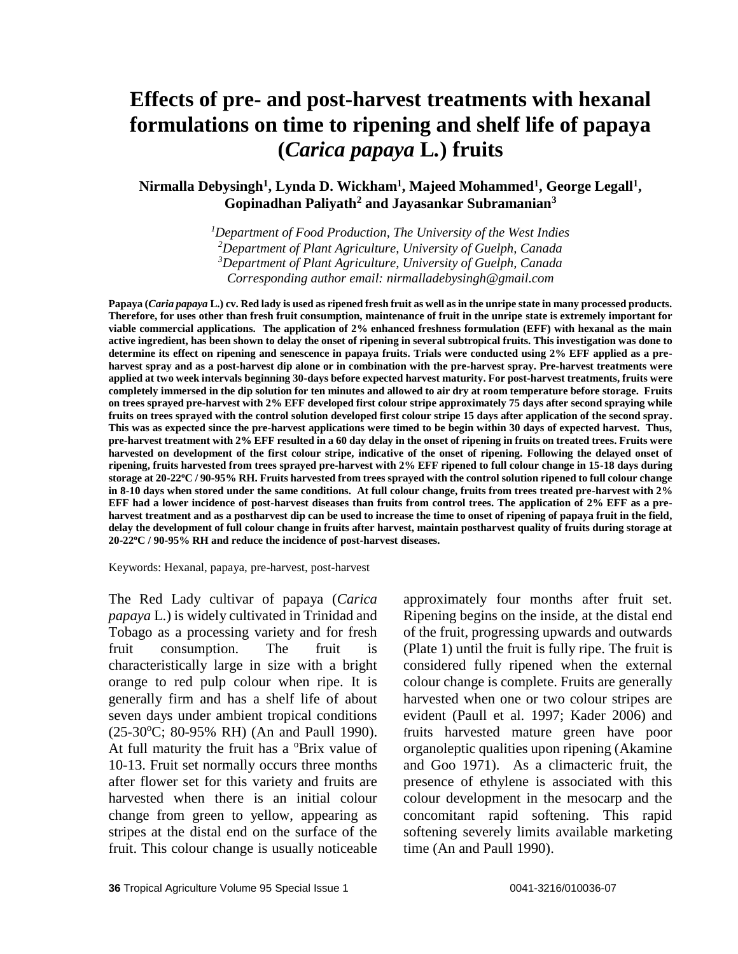#### **Nirmalla Debysingh<sup>1</sup> , Lynda D. Wickham<sup>1</sup> , Majeed Mohammed<sup>1</sup> , George Legall<sup>1</sup> , Gopinadhan Paliyath<sup>2</sup> and Jayasankar Subramanian<sup>3</sup>**

*Department of Food Production, The University of the West Indies Department of Plant Agriculture, University of Guelph, Canada Department of Plant Agriculture, University of Guelph, Canada Corresponding author email: [nirmalladebysingh@gmail.com](mailto:nirmalladebysingh@gmail.com)*

**Papaya (***Caria papaya* **L.) cv. Red lady is used as ripened fresh fruit as well as in the unripe state in many processed products. Therefore, for uses other than fresh fruit consumption, maintenance of fruit in the unripe state is extremely important for viable commercial applications. The application of 2% enhanced freshness formulation (EFF) with hexanal as the main active ingredient, has been shown to delay the onset of ripening in several subtropical fruits. This investigation was done to determine its effect on ripening and senescence in papaya fruits. Trials were conducted using 2% EFF applied as a preharvest spray and as a post-harvest dip alone or in combination with the pre-harvest spray. Pre-harvest treatments were applied at two week intervals beginning 30-days before expected harvest maturity. For post-harvest treatments, fruits were completely immersed in the dip solution for ten minutes and allowed to air dry at room temperature before storage. Fruits on trees sprayed pre-harvest with 2% EFF developed first colour stripe approximately 75 days after second spraying while fruits on trees sprayed with the control solution developed first colour stripe 15 days after application of the second spray. This was as expected since the pre-harvest applications were timed to be begin within 30 days of expected harvest. Thus, pre-harvest treatment with 2% EFF resulted in a 60 day delay in the onset of ripening in fruits on treated trees. Fruits were**  harvested on development of the first colour stripe, indicative of the onset of ripening. Following the delayed onset of **ripening, fruits harvested from trees sprayed pre-harvest with 2% EFF ripened to full colour change in 15-18 days during storage at 20-22<sup>o</sup>C / 90-95% RH. Fruits harvested from trees sprayed with the control solution ripened to full colour change in 8-10 days when stored under the same conditions. At full colour change, fruits from trees treated pre-harvest with 2% EFF had a lower incidence of post-harvest diseases than fruits from control trees. The application of 2% EFF as a preharvest treatment and as a postharvest dip can be used to increase the time to onset of ripening of papaya fruit in the field, delay the development of full colour change in fruits after harvest, maintain postharvest quality of fruits during storage at 20-22<sup>o</sup>C / 90-95% RH and reduce the incidence of post-harvest diseases.**

Keywords: Hexanal, papaya, pre-harvest, post-harvest

The Red Lady cultivar of papaya (*Carica papaya* L.) is widely cultivated in Trinidad and Tobago as a processing variety and for fresh fruit consumption. The fruit is characteristically large in size with a bright orange to red pulp colour when ripe. It is generally firm and has a shelf life of about seven days under ambient tropical conditions  $(25-30$ <sup>o</sup>C; 80-95% RH) (An and Paull 1990). At full maturity the fruit has a <sup>o</sup>Brix value of 10-13. Fruit set normally occurs three months after flower set for this variety and fruits are harvested when there is an initial colour change from green to yellow, appearing as stripes at the distal end on the surface of the fruit. This colour change is usually noticeable approximately four months after fruit set. Ripening begins on the inside, at the distal end of the fruit, progressing upwards and outwards (Plate 1) until the fruit is fully ripe. The fruit is considered fully ripened when the external colour change is complete. Fruits are generally harvested when one or two colour stripes are evident (Paull et al. 1997; Kader 2006) and fruits harvested mature green have poor organoleptic qualities upon ripening (Akamine and Goo 1971). As a climacteric fruit, the presence of ethylene is associated with this colour development in the mesocarp and the concomitant rapid softening. This rapid softening severely limits available marketing time (An and Paull 1990).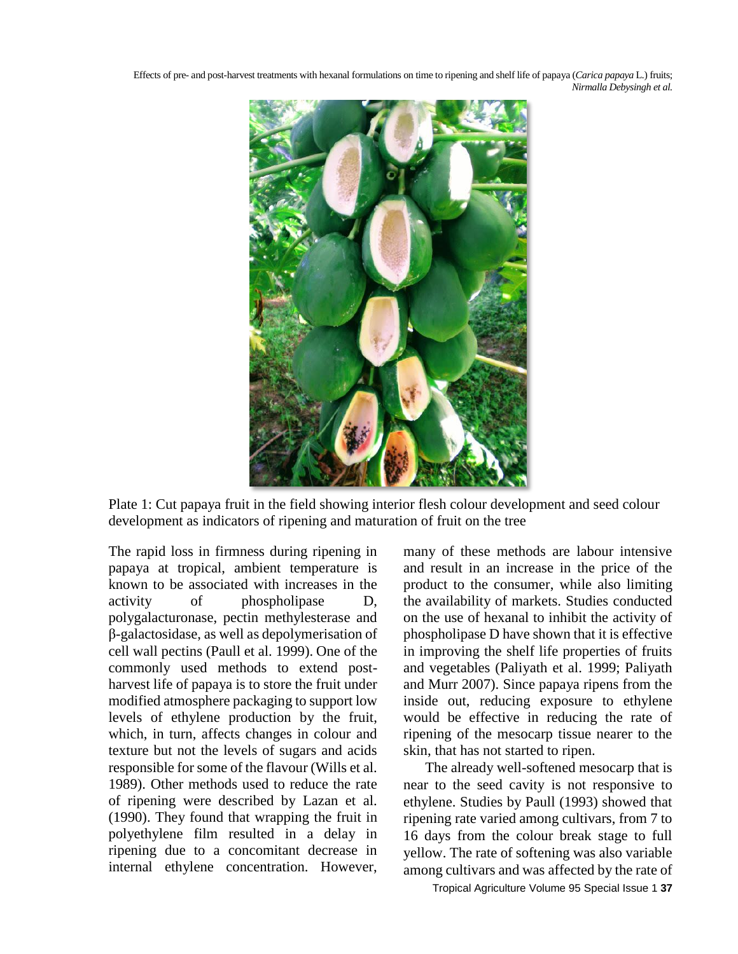

Plate 1: Cut papaya fruit in the field showing interior flesh colour development and seed colour development as indicators of ripening and maturation of fruit on the tree

The rapid loss in firmness during ripening in papaya at tropical, ambient temperature is known to be associated with increases in the activity of phospholipase D, polygalacturonase, pectin methylesterase and β-galactosidase, as well as depolymerisation of cell wall pectins (Paull et al. 1999). One of the commonly used methods to extend postharvest life of papaya is to store the fruit under modified atmosphere packaging to support low levels of ethylene production by the fruit, which, in turn, affects changes in colour and texture but not the levels of sugars and acids responsible for some of the flavour (Wills et al. 1989). Other methods used to reduce the rate of ripening were described by Lazan et al. (1990). They found that wrapping the fruit in polyethylene film resulted in a delay in ripening due to a concomitant decrease in internal ethylene concentration. However, many of these methods are labour intensive and result in an increase in the price of the product to the consumer, while also limiting the availability of markets. Studies conducted on the use of hexanal to inhibit the activity of phospholipase D have shown that it is effective in improving the shelf life properties of fruits and vegetables (Paliyath et al. 1999; Paliyath and Murr 2007). Since papaya ripens from the inside out, reducing exposure to ethylene would be effective in reducing the rate of ripening of the mesocarp tissue nearer to the skin, that has not started to ripen.

The already well-softened mesocarp that is near to the seed cavity is not responsive to ethylene. Studies by Paull (1993) showed that ripening rate varied among cultivars, from 7 to 16 days from the colour break stage to full yellow. The rate of softening was also variable among cultivars and was affected by the rate of

Tropical Agriculture Volume 95 Special Issue 1 **37**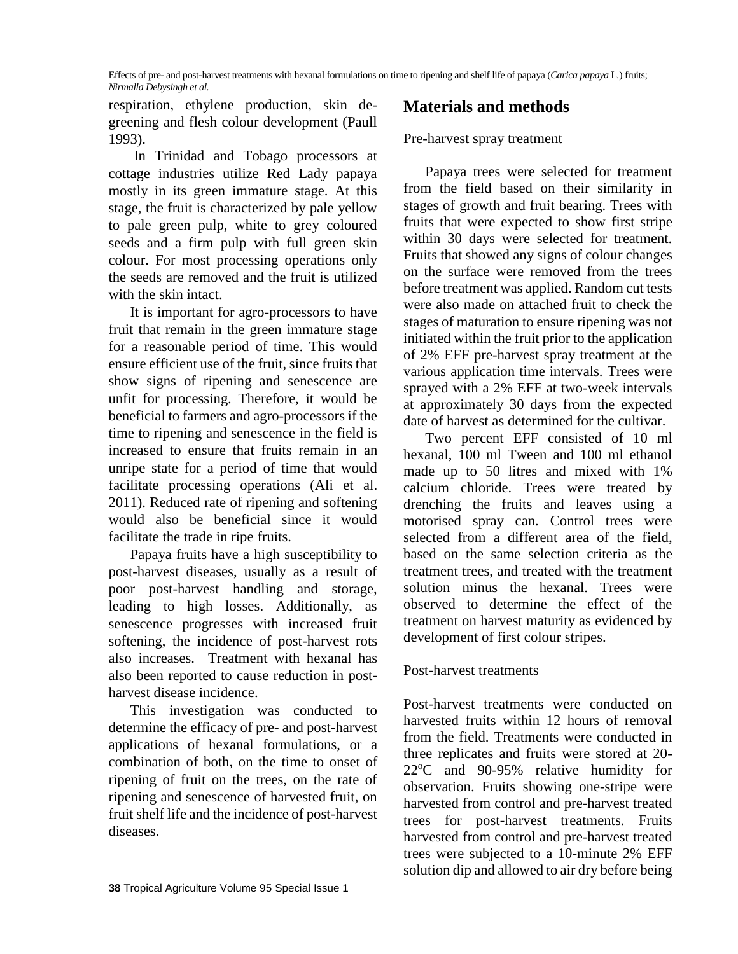respiration, ethylene production, skin degreening and flesh colour development (Paull 1993).

In Trinidad and Tobago processors at cottage industries utilize Red Lady papaya mostly in its green immature stage. At this stage, the fruit is characterized by pale yellow to pale green pulp, white to grey coloured seeds and a firm pulp with full green skin colour. For most processing operations only the seeds are removed and the fruit is utilized with the skin intact.

It is important for agro-processors to have fruit that remain in the green immature stage for a reasonable period of time. This would ensure efficient use of the fruit, since fruits that show signs of ripening and senescence are unfit for processing. Therefore, it would be beneficial to farmers and agro-processors if the time to ripening and senescence in the field is increased to ensure that fruits remain in an unripe state for a period of time that would facilitate processing operations (Ali et al. 2011). Reduced rate of ripening and softening would also be beneficial since it would facilitate the trade in ripe fruits.

Papaya fruits have a high susceptibility to post-harvest diseases, usually as a result of poor post-harvest handling and storage, leading to high losses. Additionally, as senescence progresses with increased fruit softening, the incidence of post-harvest rots also increases. Treatment with hexanal has also been reported to cause reduction in postharvest disease incidence.

This investigation was conducted to determine the efficacy of pre- and post-harvest applications of hexanal formulations, or a combination of both, on the time to onset of ripening of fruit on the trees, on the rate of ripening and senescence of harvested fruit, on fruit shelf life and the incidence of post-harvest diseases.

#### Pre-harvest spray treatment

Papaya trees were selected for treatment from the field based on their similarity in stages of growth and fruit bearing. Trees with fruits that were expected to show first stripe within 30 days were selected for treatment. Fruits that showed any signs of colour changes on the surface were removed from the trees before treatment was applied. Random cut tests were also made on attached fruit to check the stages of maturation to ensure ripening was not initiated within the fruit prior to the application of 2% EFF pre-harvest spray treatment at the various application time intervals. Trees were sprayed with a 2% EFF at two-week intervals at approximately 30 days from the expected date of harvest as determined for the cultivar.

Two percent EFF consisted of 10 ml hexanal, 100 ml Tween and 100 ml ethanol made up to 50 litres and mixed with 1% calcium chloride. Trees were treated by drenching the fruits and leaves using a motorised spray can. Control trees were selected from a different area of the field, based on the same selection criteria as the treatment trees, and treated with the treatment solution minus the hexanal. Trees were observed to determine the effect of the treatment on harvest maturity as evidenced by development of first colour stripes.

#### Post-harvest treatments

Post-harvest treatments were conducted on harvested fruits within 12 hours of removal from the field. Treatments were conducted in three replicates and fruits were stored at 20-  $22^{\circ}$ C and  $90-95%$  relative humidity for observation. Fruits showing one-stripe were harvested from control and pre-harvest treated trees for post-harvest treatments. Fruits harvested from control and pre-harvest treated trees were subjected to a 10-minute 2% EFF solution dip and allowed to air dry before being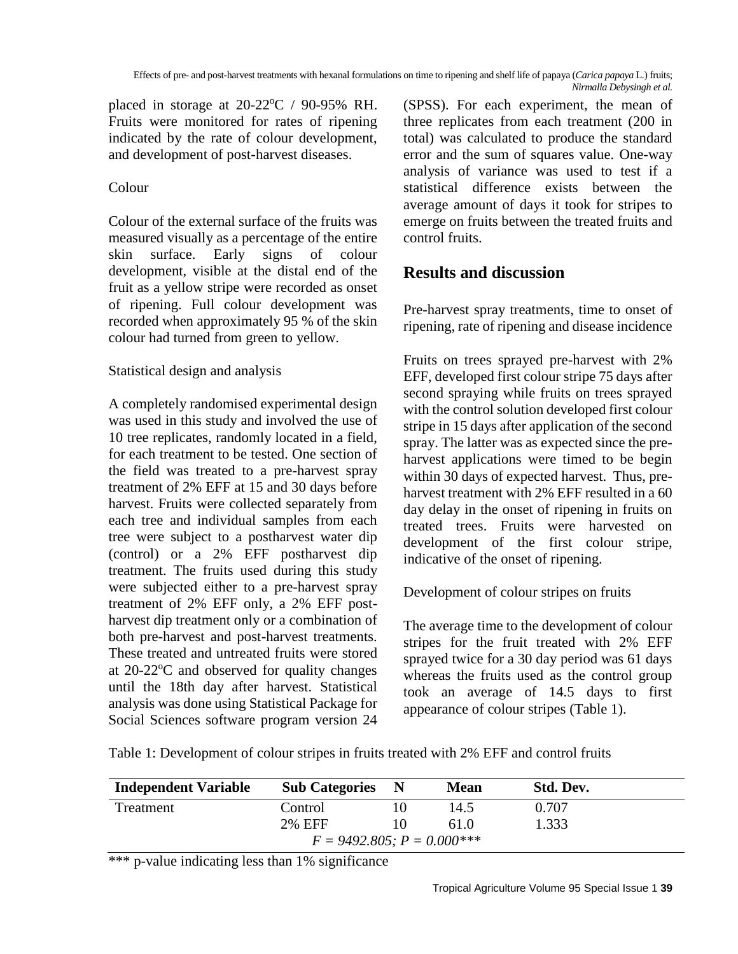placed in storage at  $20-22$ °C / 90-95% RH. Fruits were monitored for rates of ripening indicated by the rate of colour development, and development of post-harvest diseases.

# Colour

Colour of the external surface of the fruits was measured visually as a percentage of the entire skin surface. Early signs of colour development, visible at the distal end of the fruit as a yellow stripe were recorded as onset of ripening. Full colour development was recorded when approximately 95 % of the skin colour had turned from green to yellow.

### Statistical design and analysis

A completely randomised experimental design was used in this study and involved the use of 10 tree replicates, randomly located in a field, for each treatment to be tested. One section of the field was treated to a pre-harvest spray treatment of 2% EFF at 15 and 30 days before harvest. Fruits were collected separately from each tree and individual samples from each tree were subject to a postharvest water dip (control) or a 2% EFF postharvest dip treatment. The fruits used during this study were subjected either to a pre-harvest spray treatment of 2% EFF only, a 2% EFF postharvest dip treatment only or a combination of both pre-harvest and post-harvest treatments. These treated and untreated fruits were stored at  $20-22$ <sup>o</sup>C and observed for quality changes until the 18th day after harvest. Statistical analysis was done using Statistical Package for Social Sciences software program version 24 (SPSS). For each experiment, the mean of three replicates from each treatment (200 in total) was calculated to produce the standard error and the sum of squares value. One-way analysis of variance was used to test if a statistical difference exists between the average amount of days it took for stripes to emerge on fruits between the treated fruits and control fruits.

# **Results and discussion**

Pre-harvest spray treatments, time to onset of ripening, rate of ripening and disease incidence

Fruits on trees sprayed pre-harvest with 2% EFF, developed first colour stripe 75 days after second spraying while fruits on trees sprayed with the control solution developed first colour stripe in 15 days after application of the second spray. The latter was as expected since the preharvest applications were timed to be begin within 30 days of expected harvest. Thus, preharvest treatment with 2% EFF resulted in a 60 day delay in the onset of ripening in fruits on treated trees. Fruits were harvested on development of the first colour stripe, indicative of the onset of ripening.

Development of colour stripes on fruits

The average time to the development of colour stripes for the fruit treated with 2% EFF sprayed twice for a 30 day period was 61 days whereas the fruits used as the control group took an average of 14.5 days to first appearance of colour stripes (Table 1).

Table 1: Development of colour stripes in fruits treated with 2% EFF and control fruits

| <b>Independent Variable</b>      | <b>Sub Categories</b> | - N | <b>Mean</b> | Std. Dev. |  |
|----------------------------------|-----------------------|-----|-------------|-----------|--|
| Treatment                        | Control               |     | 14.5        | 0.707     |  |
|                                  | <b>2% EFF</b>         |     | 61.0        | 1.333     |  |
| $F = 9492.805$ ; $P = 0.000$ *** |                       |     |             |           |  |

\*\*\* p-value indicating less than 1% significance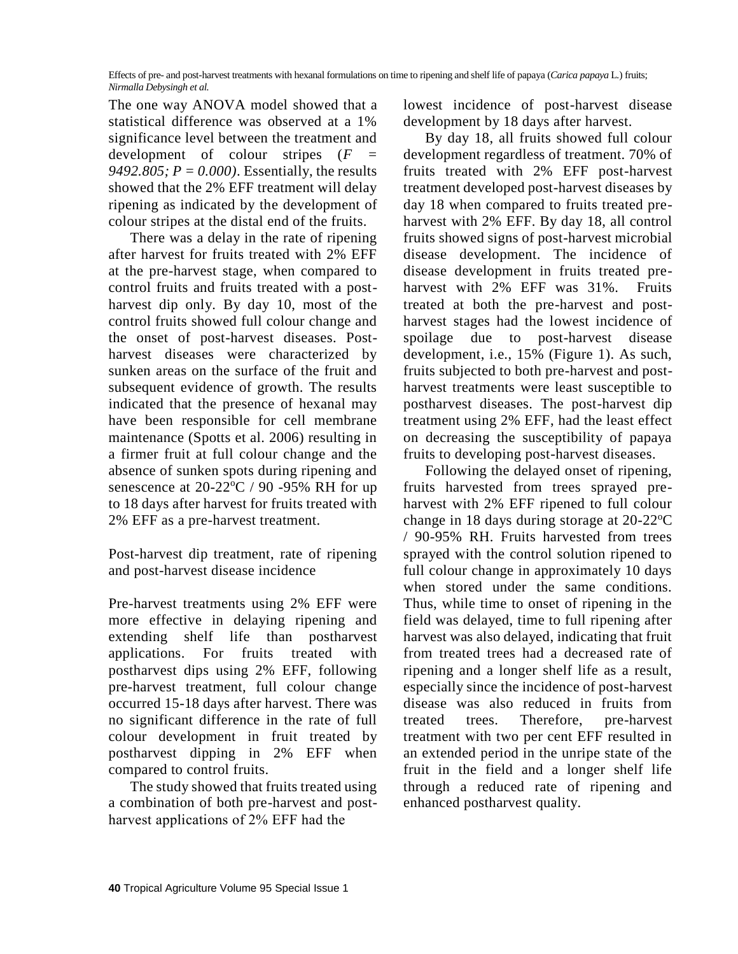The one way ANOVA model showed that a statistical difference was observed at a 1% significance level between the treatment and development of colour stripes (*F = 9492.805; P = 0.000)*. Essentially, the results showed that the 2% EFF treatment will delay ripening as indicated by the development of colour stripes at the distal end of the fruits.

There was a delay in the rate of ripening after harvest for fruits treated with 2% EFF at the pre-harvest stage, when compared to control fruits and fruits treated with a postharvest dip only. By day 10, most of the control fruits showed full colour change and the onset of post-harvest diseases. Postharvest diseases were characterized by sunken areas on the surface of the fruit and subsequent evidence of growth. The results indicated that the presence of hexanal may have been responsible for cell membrane maintenance (Spotts et al. 2006) resulting in a firmer fruit at full colour change and the absence of sunken spots during ripening and senescence at  $20-22$ <sup>o</sup>C / 90 -95% RH for up to 18 days after harvest for fruits treated with 2% EFF as a pre-harvest treatment.

Post-harvest dip treatment, rate of ripening and post-harvest disease incidence

Pre-harvest treatments using 2% EFF were more effective in delaying ripening and extending shelf life than postharvest applications. For fruits treated with postharvest dips using 2% EFF, following pre-harvest treatment, full colour change occurred 15-18 days after harvest. There was no significant difference in the rate of full colour development in fruit treated by postharvest dipping in 2% EFF when compared to control fruits.

The study showed that fruits treated using a combination of both pre-harvest and postharvest applications of 2% EFF had the

lowest incidence of post-harvest disease development by 18 days after harvest.

By day 18, all fruits showed full colour development regardless of treatment. 70% of fruits treated with 2% EFF post-harvest treatment developed post-harvest diseases by day 18 when compared to fruits treated preharvest with 2% EFF. By day 18, all control fruits showed signs of post-harvest microbial disease development. The incidence of disease development in fruits treated preharvest with 2% EFF was 31%. Fruits treated at both the pre-harvest and postharvest stages had the lowest incidence of spoilage due to post-harvest disease development, i.e., 15% (Figure 1). As such, fruits subjected to both pre-harvest and postharvest treatments were least susceptible to postharvest diseases. The post-harvest dip treatment using 2% EFF, had the least effect on decreasing the susceptibility of papaya fruits to developing post-harvest diseases.

Following the delayed onset of ripening, fruits harvested from trees sprayed preharvest with 2% EFF ripened to full colour change in 18 days during storage at  $20-22$ <sup>o</sup>C / 90-95% RH. Fruits harvested from trees sprayed with the control solution ripened to full colour change in approximately 10 days when stored under the same conditions. Thus, while time to onset of ripening in the field was delayed, time to full ripening after harvest was also delayed, indicating that fruit from treated trees had a decreased rate of ripening and a longer shelf life as a result, especially since the incidence of post-harvest disease was also reduced in fruits from treated trees. Therefore, pre-harvest treatment with two per cent EFF resulted in an extended period in the unripe state of the fruit in the field and a longer shelf life through a reduced rate of ripening and enhanced postharvest quality.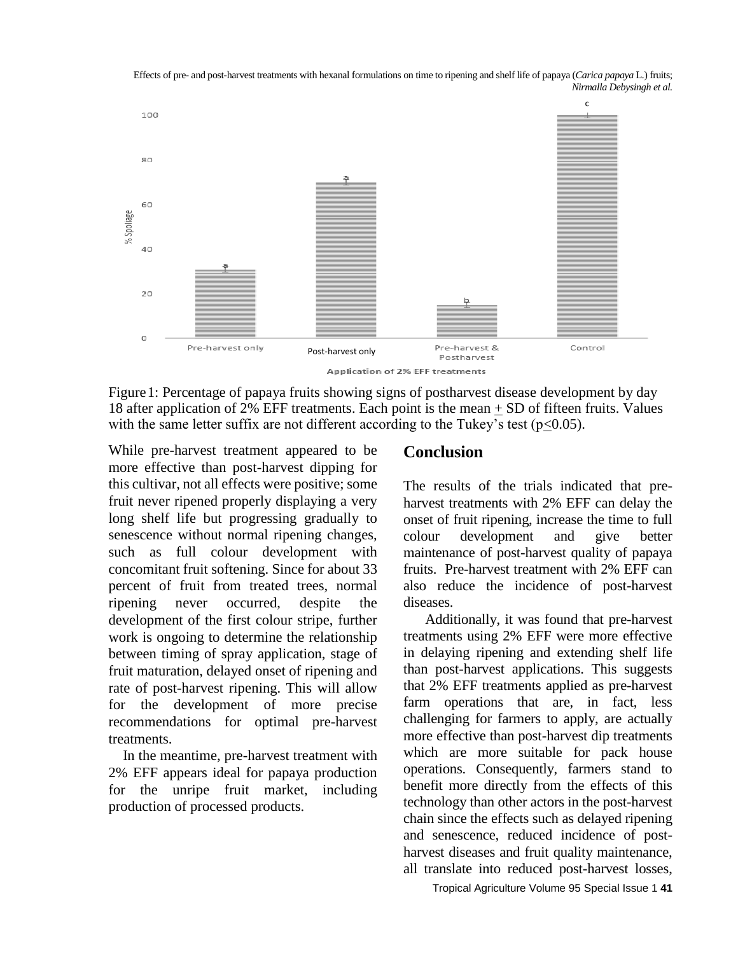

Figure 1: Percentage of papaya fruits showing signs of postharvest disease development by day 18 after application of 2% EFF treatments. Each point is the mean + SD of fifteen fruits. Values with the same letter suffix are not different according to the Tukey's test ( $p<0.05$ ).

While pre-harvest treatment appeared to be more effective than post-harvest dipping for this cultivar, not all effects were positive; some fruit never ripened properly displaying a very long shelf life but progressing gradually to senescence without normal ripening changes, such as full colour development with concomitant fruit softening. Since for about 33 percent of fruit from treated trees, normal ripening never occurred, despite the development of the first colour stripe, further work is ongoing to determine the relationship between timing of spray application, stage of fruit maturation, delayed onset of ripening and rate of post-harvest ripening. This will allow for the development of more precise recommendations for optimal pre-harvest treatments.

 In the meantime, pre-harvest treatment with 2% EFF appears ideal for papaya production for the unripe fruit market, including production of processed products.

#### **Conclusion**

The results of the trials indicated that preharvest treatments with 2% EFF can delay the onset of fruit ripening, increase the time to full colour development and give better maintenance of post-harvest quality of papaya fruits. Pre-harvest treatment with 2% EFF can also reduce the incidence of post-harvest diseases.

Additionally, it was found that pre-harvest treatments using 2% EFF were more effective in delaying ripening and extending shelf life than post-harvest applications. This suggests that 2% EFF treatments applied as pre-harvest farm operations that are, in fact, less challenging for farmers to apply, are actually more effective than post-harvest dip treatments which are more suitable for pack house operations. Consequently, farmers stand to benefit more directly from the effects of this technology than other actors in the post-harvest chain since the effects such as delayed ripening and senescence, reduced incidence of postharvest diseases and fruit quality maintenance, all translate into reduced post-harvest losses,

Tropical Agriculture Volume 95 Special Issue 1 **41**